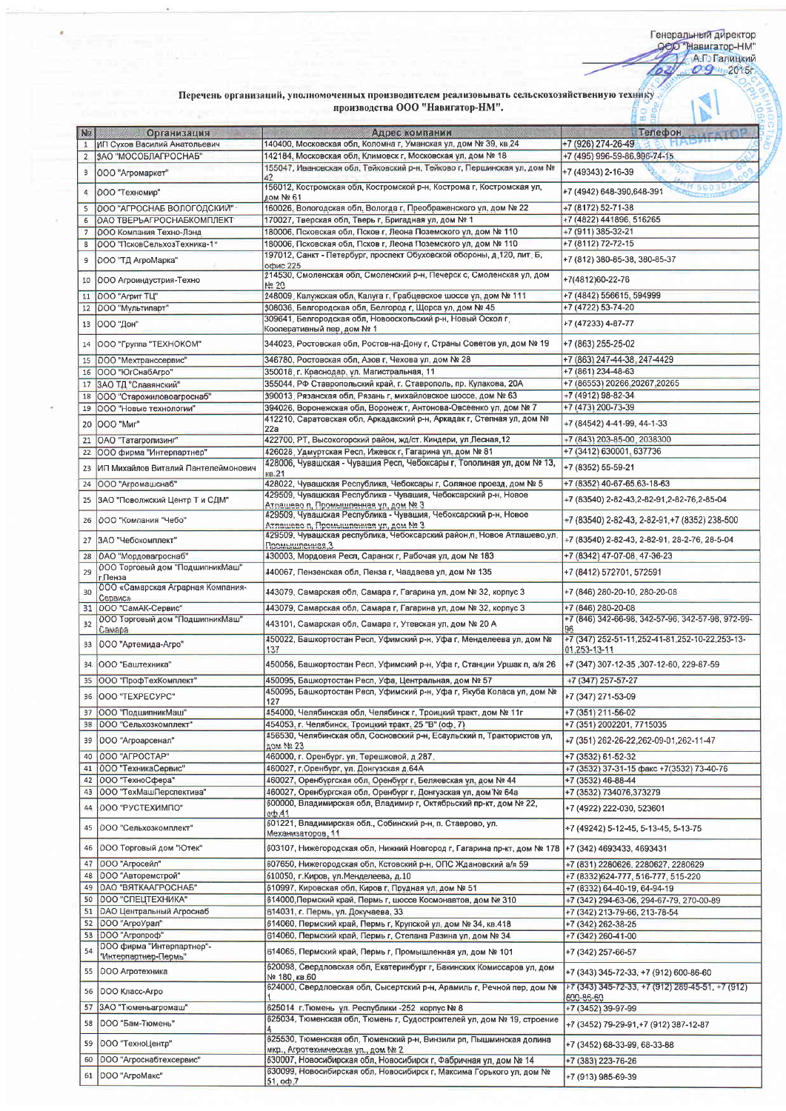## Перечень организаций, уполномоченных производителем реализовывать сельскохозяйственную технику производства ООО "Навигатор-НМ".  $\overline{50}$ Ĥ

ý.

| <b>No</b>            |                                                   | производства ООО "Навигатор-НМ".                                                                                                                   |                                                         |
|----------------------|---------------------------------------------------|----------------------------------------------------------------------------------------------------------------------------------------------------|---------------------------------------------------------|
|                      | <b>Организация</b>                                | Адрес компании                                                                                                                                     | Телефон<br><b>VATATOR</b>                               |
| $\mathbf{1}$         | ИП Сухов Василий Анатольевич                      | 140400, Московская обл, Коломна г, Уманская ул, дом № 39, кв.24                                                                                    | +7 (926) 274-26-49<br>HADD                              |
| 2                    | ЗАО "МОСОБЛАГРОСНАБ"                              | 142184, Московская обл, Климовск г, Московская ул, дом № 18                                                                                        | +7 (495) 996-59-86, 996-74-15                           |
| э                    | ООО "Агромаркет"                                  | 155047, Ивановская обл, Тейковский р-н, Тейково г, Першинская ул, дом №<br>42                                                                      | +7 (49343) 2-16-39                                      |
| $\overline{4}$       | 000 "Техномир"                                    | 156012, Костромская обл, Костромской р-н, Кострома г, Костромская ул,                                                                              | +7 (4942) 648-390,648-391                               |
|                      |                                                   | дом № 61                                                                                                                                           |                                                         |
| 5                    | 000 "АГРОСНАБ ВОЛОГОДСКИЙ"                        | 160026, Вологодская обл, Вологда г, Преображенского ул, дом № 22                                                                                   | +7 (8172) 52-71-38                                      |
| 6                    | ОАО ТВЕРЬАГРОСНАБКОМПЛЕКТ                         | 170027, Тверская обл, Тверь г, Бригадная ул, дом № 1                                                                                               | +7 (4822) 441896, 516265                                |
| $\overline{7}$       | ООО Компания Техно-Лэнд                           | 180006. Псковская обл. Псков г. Леона Поземского ул. дом № 110                                                                                     | +7 (911) 385-32-21                                      |
| 8                    | ООО "ПсковСельхозТехника-1"                       | 180006, Псковская обл. Псков г. Леона Поземского ул, дом № 110<br>197012, Санкт - Петербург, проспект Обуховской обороны, д.120, лит. Б,           | +7 (8112) 72-72-15                                      |
|                      | 000 "ТД АгроМарка"                                | офис 225                                                                                                                                           | +7 (812) 380-85-38, 380-85-37                           |
|                      |                                                   | 214530, Смоленская обл, Смоленский р-н, Печерск с, Смоленская ул, дом                                                                              | +7(4812)60-22-76                                        |
| 10                   | 000 Агроиндустрия-Техно                           | No 20                                                                                                                                              |                                                         |
| 11                   | 000 "Агрит TЦ"                                    | 248009, Калужская обл, Калуга г, Грабцевское шоссе ул, дом № 111                                                                                   | +7 (4842) 556615, 594999                                |
| 12                   | 000 "Мультипарт"                                  | 308036, Белгородская обл, Белгород г, Щорса ул, дом № 45                                                                                           | +7 (4722) 53-74-20                                      |
| 13                   | ООО "Дон"                                         | 309641, Белгородская обл, Новооскольский р-н, Новый Оскол г,<br>Кооперативный пер, дом № 1                                                         | +7 (47233) 4-87-77                                      |
|                      |                                                   |                                                                                                                                                    |                                                         |
| 14                   | 000 "Группа "ТЕХНОКОМ"                            | 344023, Ростовская обл, Ростов-на-Дону г, Страны Советов ул, дом № 19                                                                              | +7 (863) 255-25-02                                      |
| 15                   | ООО "Мехтранссервис"                              | 346780, Ростовская обл, Азов г, Чехова ул, дом № 28                                                                                                | +7 (863) 247-44-38, 247-4429                            |
| 16                   | ООО "ЮгСнабАгро"                                  | 350018, г. Краснодар, ул. Магистральная, 11                                                                                                        | +7 (861) 234-48-63                                      |
| 17                   | ЗАО ТД "Славянский"                               | 355044, РФ Ставропольский край, г. Ставрополь, пр. Кулакова, 20А                                                                                   | +7 (86553) 20266,20267,20265                            |
| 18                   | ООО "Старожиловоагроснаб"                         | 390013, Рязанская обл, Рязань г, михайловское шоссе, дом № 63                                                                                      | +7 (4912) 98-82-34                                      |
| 19                   | ООО "Новые технологии"                            | 394026, Воронежская обл. Воронеж г. Антонова-Овсеенко ул. дом № 7                                                                                  | +7 (473) 200-73-39                                      |
| 20                   | ООО "Миг"                                         | 412210, Саратовская обл, Аркадакский р-н, Аркадак г, Степная ул, дом №                                                                             | +7 (84542) 4-41-99, 44-1-33                             |
|                      |                                                   | 22a                                                                                                                                                |                                                         |
| 21                   | ОАО "Татагролизинг"                               | 422700, РТ, Высокогорский район, жд/ст. Киндери, ул.Лесная, 12                                                                                     | +7 (843) 203-85-00, 2038300                             |
| 22                   | ООО фирма "Интерпартнер"                          | 426028, Удмуртская Респ, Ижевск г, Гагарина ул, дом № 81                                                                                           | +7 (3412) 630001, 637736                                |
| 23                   | ИП Михайлов Виталий Пантелеймонович               | 428006, Чувашская - Чувашия Респ, Чебоксары г, Тополиная ул, дом № 13,<br>KB.21                                                                    | +7 (8352) 55-59-21                                      |
| 24                   | ООО "Агромашснаб"                                 | 428022, Чувашская Республика, Чебоксары г, Соляное проезд, дом № 5                                                                                 | +7 (8352) 40-67-65,63-18-63                             |
|                      |                                                   | 429509, Чувашская Республика - Чувашия, Чебоксарский р-н, Новое                                                                                    |                                                         |
| 25                   | ЗАО "Поволжский Центр Т и СДМ"                    | Атлашево п, Промышленная ул, дом № 3                                                                                                               | +7 (83540) 2-82-43,2-82-91,2-82-76,2-85-04              |
| 26                   | 000 "Компания "Чебо"                              | 429509, Чувашская Республика - Чувашия, Чебоксарский р-н, Новое<br>Атлашево п, Промышленная ул, дом № 3                                            | +7 (83540) 2-82-43, 2-82-91, +7 (8352) 238-500          |
| 27                   | ЗАО "Чебокомплект"                                | 429509, Чувашская республика, Чебоксарский район, п. Новое Атлашево, ул.                                                                           | +7 (83540) 2-82-43, 2-82-91, 28-2-76, 28-5-04           |
|                      |                                                   | Промышленная, 3                                                                                                                                    |                                                         |
|                      | 28 ОАО "Мордовагроснаб"                           | 430003, Мордовия Респ, Саранск г, Рабочая ул, дом № 183                                                                                            | +7 (8342) 47-07-08, 47-36-23                            |
| 29                   | 000 Торговый дом "ПодшипникМаш"<br>г. Пенза       | 440067, Пензенская обл, Пенза г, Чаадаева ул, дом № 135                                                                                            | +7 (8412) 572701, 572591                                |
|                      | 000 «Самарская Аграрная Компания-                 |                                                                                                                                                    |                                                         |
| 30                   | Сервис»                                           | 443079, Самарская обл. Самара г, Гагарина ул, дом № 32, корпус 3                                                                                   | +7 (846) 280-20-10, 280-20-08                           |
| 31                   | ООО "СамАК-Сервис"                                | 443079, Самарская обл, Самара г, Гагарина ул, дом № 32, корпус 3                                                                                   | +7 (846) 280-20-08                                      |
| 32                   | ООО Торговый дом "ПодшипникМаш"                   | 443101, Самарская обл, Самара г, Утевская ул, дом № 20 А                                                                                           | +7 (846) 342-66-98, 342-57-96, 342-57-98, 972-99-       |
|                      | Самара                                            |                                                                                                                                                    | 96<br>+7 (347) 252-51-11, 252-41-81, 252-10-22, 253-13- |
|                      | 33   000 "Артемида-Агро"                          | 450022, Башкортостан Респ, Уфимский р-н, Уфа г, Менделеева ул, дом №<br>137                                                                        | 01,253-13-11                                            |
| $34-$                | ООО "Баштехника"                                  | 450056, Башкортостан Респ, Уфимский р-н, Уфа г, Станции Уршак п, а/я 26                                                                            | +7 (347) 307-12-35, 307-12-60, 229-87-59                |
|                      | 35 000 "ПрофТехКомплект"                          | 450095, Башкортостан Респ, Уфа, Центральная, дом № 57                                                                                              | +7 (347) 257-57-27                                      |
|                      |                                                   | 450095, Башкортостан Респ, Уфимский р-н, Уфа г, Якуба Коласа ул, дом №                                                                             |                                                         |
|                      | 36   000 "TEXPECYPC"                              | 127                                                                                                                                                | +7 (347) 271-53-09                                      |
| 37                   | ООО "ПодшипникМаш"                                | 454000, Челябинская обл. Челябинск г, Троицкий тракт, дом № 11г                                                                                    | +7 (351) 211-56-02                                      |
| 38                   | 000 "Сельхозкомплект"                             | 454053, г. Челябинск, Троицкий тракт, 25 "В" (оф. 7)                                                                                               | +7 (351) 2002201, 7715035                               |
| 39                   | ООО "Агроарсенал"                                 | 456530, Челябинская обл, Сосновский р-н, Есаульский п, Трактористов ул,                                                                            | +7 (351) 262-26-22,262-09-01,262-11-47                  |
|                      |                                                   | 10м № 23                                                                                                                                           |                                                         |
| 40                   | 000 "AFPOCTAP"                                    | 460000, г. Оренбург. ул. Терешковой, д.287.                                                                                                        | +7 (3532) 61-52-32                                      |
| 41                   | 000 "ТехникаСервис"                               | 460027, г. Оренбург, ул. Донгузская д.64А                                                                                                          | +7 (3532) 37-31-15 факс +7(3532) 73-40-76               |
| 42<br>43             | ООО "ТехноСфера"                                  | 460027, Оренбургская обл. Оренбург г, Беляевская ул. дом № 44                                                                                      | +7 (3532) 46-88-44                                      |
|                      | ООО "ТехМашПерспектива"                           | 460027, Оренбургская обл, Оренбург г, Донгузская ул, дом № 64а                                                                                     | +7 (3532) 734076,373279                                 |
| 44                   | ООО "РУСТЕХИМПО"                                  | 600000, Владимирская обл, Владимир г, Октябрьский пр-кт, дом № 22,<br>$o$ $\Phi$ .41<br>601221, Владимирская обл., Собинский р-н, п. Ставрово, ул. | +7 (4922) 222-030, 523601                               |
| 45                   | 000 "Сельхозкомплект"                             | Механизаторов, 11                                                                                                                                  | +7 (49242) 5-12-45, 5-13-45, 5-13-75                    |
| 46                   | ООО Торговый дом "Ютек"                           | 603107, Нижегородская обл, Нижний Новгород г, Гагарина пр-кт, дом № 178                                                                            | +7 (342) 4693433, 4693431                               |
| 47                   | ООО "Агросейл"                                    | 607650, Нижегородская обл, Кстовский р-н, ОПС Ждановский а/я 59                                                                                    | +7 (831) 2280626, 2280627, 2280629                      |
| 48                   | ООО "Авторемстрой"                                | 610050, г. Киров, ул. Менделеева, д.10                                                                                                             | +7 (8332)624-777, 516-777, 515-220                      |
| 49                   | ОАО "ВЯТКААГРОСНАБ"                               | 610997, Кировская обл, Киров г. Прудная ул, дом № 51                                                                                               | +7 (8332) 64-40-19, 64-94-19                            |
| 50                   | ООО "СПЕЦТЕХНИКА"                                 | 614000, Пермский край, Пермь г, шоссе Космонавтов, дом № 310                                                                                       | +7 (342) 294-63-06, 294-67-79, 270-00-89                |
| 51                   | ОАО Центральный Агроснаб                          | 614031, г. Пермь, ул. Докучаева, 33                                                                                                                | +7 (342) 213-79-66, 213-78-54                           |
| 52                   | ООО "АгроУрал"                                    | 614060, Пермский край, Пермь г, Крупской ул, дом № 34, кв.418                                                                                      | +7 (342) 262-38-25                                      |
| 53                   | ООО "Агропроф"                                    | 614060, Пермский край, Пермь г. Степана Разина ул. дом № 34                                                                                        | +7 (342) 260-41-00                                      |
|                      | ООО фирма "Интерпартнер"-<br>"Интерпартнер-Пермь" | 614065, Пермский край, Пермь г, Промышленная ул, дом № 101                                                                                         | +7 (342) 257-66-57                                      |
|                      | 000 Агротехника                                   | 620098, Свердловская обл, Екатеринбург г, Бакинских Комиссаров ул, дом<br>№ 180, кв.60                                                             | +7 (343) 345-72-33, +7 (912) 600-86-60                  |
|                      |                                                   |                                                                                                                                                    | +7 (343) 345-72-33, +7 (912) 289-45-51, +7 (912)        |
| 54<br>55<br>56       | 000 Класс-Агро                                    | 624000, Свердловская обл, Сысертский р-н, Арамиль г, Речной пер, дом №                                                                             | 600-86-60                                               |
|                      | ЗАО "Тюменьагромаш"                               | 625014 г. Тюмень ул. Республики - 252 корпус № 8                                                                                                   | +7 (3452) 39-97-99                                      |
|                      | 000 "Бам-Тюмень"                                  | 625034, Тюменская обл, Тюмень г. Судостроителей ул, дом № 19, строение                                                                             | +7 (3452) 79-29-91, +7 (912) 387-12-87                  |
|                      | ООО "ТехноЦентр"                                  | 625530, Тюменская обл, Тюменский р-н, Винзили рп, Пышминская долина                                                                                | +7 (3452) 68-33-99, 68-33-88                            |
| 57<br>58<br>59<br>60 | 000 "Агроснабтехсервис"                           | мкр., Агротехническая ул., дом № 2<br>630007, Новосибирская обл, Новосибирск г, Фабричная ул, дом № 14                                             | +7 (383) 223-76-26                                      |